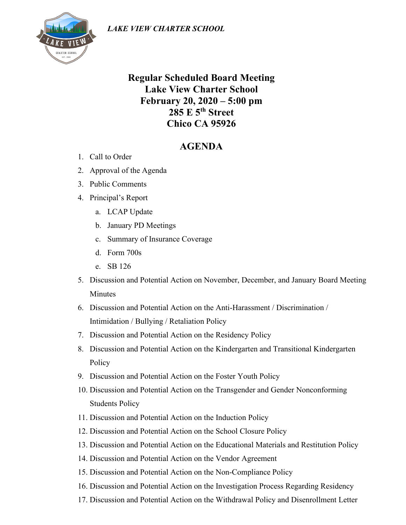

## **Regular Scheduled Board Meeting Lake View Charter School February 20, 2020 – 5:00 pm 285 E 5th Street Chico CA 95926**

## **AGENDA**

- 1. Call to Order
- 2. Approval of the Agenda
- 3. Public Comments
- 4. Principal's Report
	- a. LCAP Update
	- b. January PD Meetings
	- c. Summary of Insurance Coverage
	- d. Form 700s
	- e. SB 126
- 5. Discussion and Potential Action on November, December, and January Board Meeting **Minutes**
- 6. Discussion and Potential Action on the Anti-Harassment / Discrimination / Intimidation / Bullying / Retaliation Policy
- 7. Discussion and Potential Action on the Residency Policy
- 8. Discussion and Potential Action on the Kindergarten and Transitional Kindergarten Policy
- 9. Discussion and Potential Action on the Foster Youth Policy
- 10. Discussion and Potential Action on the Transgender and Gender Nonconforming Students Policy
- 11. Discussion and Potential Action on the Induction Policy
- 12. Discussion and Potential Action on the School Closure Policy
- 13. Discussion and Potential Action on the Educational Materials and Restitution Policy
- 14. Discussion and Potential Action on the Vendor Agreement
- 15. Discussion and Potential Action on the Non-Compliance Policy
- 16. Discussion and Potential Action on the Investigation Process Regarding Residency
- 17. Discussion and Potential Action on the Withdrawal Policy and Disenrollment Letter